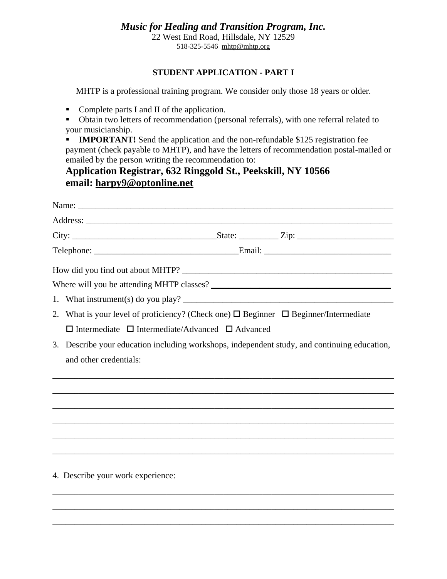## *Music for Healing and Transition Program, Inc.*

22 West End Road, Hillsdale, NY 12529 518-325-5546 [mhtp@mhtp.org](mailto:mhtp@mhtp.org)

### **STUDENT APPLICATION - PART I**

MHTP is a professional training program. We consider only those 18 years or older.

- Complete parts I and II of the application.
- Obtain two letters of recommendation (personal referrals), with one referral related to your musicianship.
- **IMPORTANT!** Send the application and the non-refundable \$125 registration fee payment (check payable to MHTP), and have the letters of recommendation postal-mailed or emailed by the person writing the recommendation to:

# **Application Registrar, 632 Ringgold St., Peekskill, NY 10566 email: [harpy9@optonline.net](mailto:harpy9@optonline.net)**

|                                                                  | 2. What is your level of proficiency? (Check one) $\Box$ Beginner $\Box$ Beginner/Intermediate |  |  |  |  |  |  |  |
|------------------------------------------------------------------|------------------------------------------------------------------------------------------------|--|--|--|--|--|--|--|
| $\Box$ Intermediate $\Box$ Intermediate/Advanced $\Box$ Advanced |                                                                                                |  |  |  |  |  |  |  |
|                                                                  | 3. Describe your education including workshops, independent study, and continuing education,   |  |  |  |  |  |  |  |
| and other credentials:                                           |                                                                                                |  |  |  |  |  |  |  |
|                                                                  |                                                                                                |  |  |  |  |  |  |  |
|                                                                  |                                                                                                |  |  |  |  |  |  |  |
|                                                                  |                                                                                                |  |  |  |  |  |  |  |
|                                                                  |                                                                                                |  |  |  |  |  |  |  |
|                                                                  |                                                                                                |  |  |  |  |  |  |  |
|                                                                  | ,我们也不能在这里的人,我们也不能在这里的人,我们也不能在这里的人,我们也不能在这里的人,我们也不能在这里的人,我们也不能在这里的人,我们也不能在这里的人,我们也              |  |  |  |  |  |  |  |
|                                                                  |                                                                                                |  |  |  |  |  |  |  |
|                                                                  | 4. Describe your work experience:                                                              |  |  |  |  |  |  |  |
|                                                                  |                                                                                                |  |  |  |  |  |  |  |

\_\_\_\_\_\_\_\_\_\_\_\_\_\_\_\_\_\_\_\_\_\_\_\_\_\_\_\_\_\_\_\_\_\_\_\_\_\_\_\_\_\_\_\_\_\_\_\_\_\_\_\_\_\_\_\_\_\_\_\_\_\_\_\_\_\_\_\_\_\_\_\_\_\_\_\_\_\_

\_\_\_\_\_\_\_\_\_\_\_\_\_\_\_\_\_\_\_\_\_\_\_\_\_\_\_\_\_\_\_\_\_\_\_\_\_\_\_\_\_\_\_\_\_\_\_\_\_\_\_\_\_\_\_\_\_\_\_\_\_\_\_\_\_\_\_\_\_\_\_\_\_\_\_\_\_\_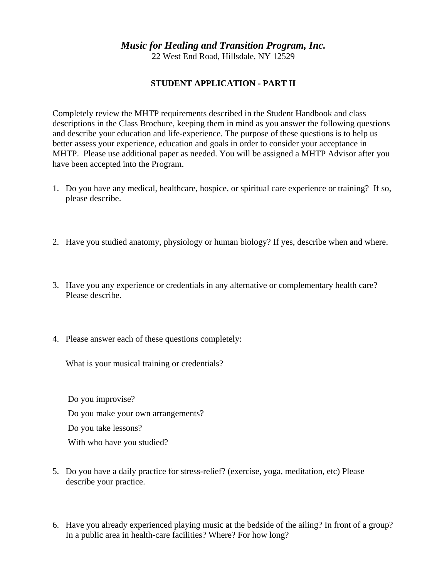## *Music for Healing and Transition Program, Inc.*

22 West End Road, Hillsdale, NY 12529

#### **STUDENT APPLICATION - PART II**

Completely review the MHTP requirements described in the Student Handbook and class descriptions in the Class Brochure, keeping them in mind as you answer the following questions and describe your education and life-experience. The purpose of these questions is to help us better assess your experience, education and goals in order to consider your acceptance in MHTP. Please use additional paper as needed. You will be assigned a MHTP Advisor after you have been accepted into the Program.

- 1. Do you have any medical, healthcare, hospice, or spiritual care experience or training? If so, please describe.
- 2. Have you studied anatomy, physiology or human biology? If yes, describe when and where.
- 3. Have you any experience or credentials in any alternative or complementary health care? Please describe.
- 4. Please answer each of these questions completely:

What is your musical training or credentials?

 Do you improvise? Do you make your own arrangements? Do you take lessons? With who have you studied?

- 5. Do you have a daily practice for stress-relief? (exercise, yoga, meditation, etc) Please describe your practice.
- 6. Have you already experienced playing music at the bedside of the ailing? In front of a group? In a public area in health-care facilities? Where? For how long?